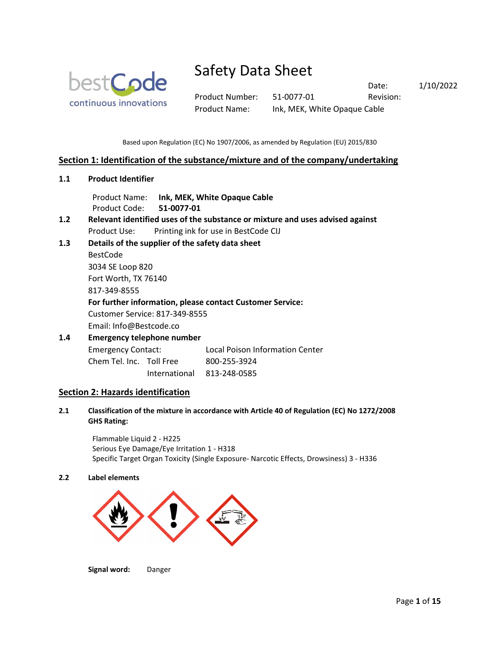

Product Number: 51-0077-01 Revision: Product Name: Ink, MEK, White Opaque Cable

Date: 1/10/2022

Based upon Regulation (EC) No 1907/2006, as amended by Regulation (EU) 2015/830

### **Section 1: Identification of the substance/mixture and of the company/undertaking**

**1.1 Product Identifier**

Product Name: **Ink, MEK, White Opaque Cable** Product Code: **51-0077-01**

- **1.2 Relevant identified uses of the substance or mixture and uses advised against** Product Use: Printing ink for use in BestCode CIJ
- **1.3 Details of the supplier of the safety data sheet**

BestCode 3034 SE Loop 820 Fort Worth, TX 76140

817-349-8555

### **For further information, please contact Customer Service:**

Customer Service: 817-349-8555

Email: Info@Bestcode.co

# **1.4 Emergency telephone number** Emergency Contact: Local Poison Information Center

Chem Tel. Inc. Toll Free 800-255-3924

International 813-248-0585

## **Section 2: Hazards identification**

**2.1 Classification of the mixture in accordance with Article 40 of Regulation (EC) No 1272/2008 GHS Rating:**

Flammable Liquid 2 - H225 Serious Eye Damage/Eye Irritation 1 - H318 Specific Target Organ Toxicity (Single Exposure- Narcotic Effects, Drowsiness) 3 - H336

### **2.2 Label elements**



**Signal word:** Danger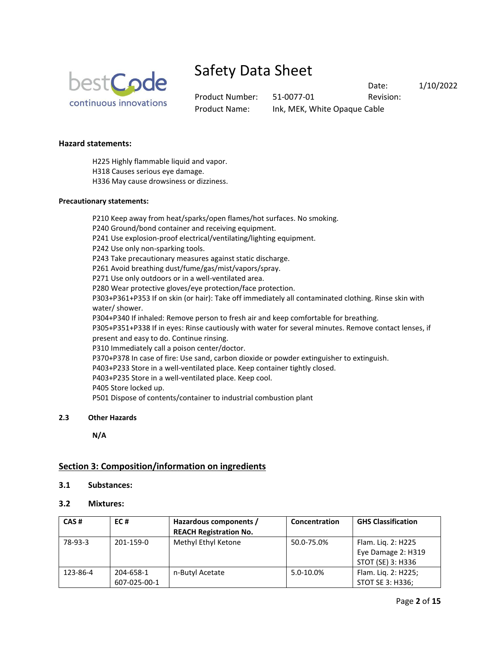

Product Number: 51-0077-01 Revision: Product Name: Ink, MEK, White Opaque Cable

Date: 1/10/2022

## **Hazard statements:**

H225 Highly flammable liquid and vapor.

H318 Causes serious eye damage.

H336 May cause drowsiness or dizziness.

### **Precautionary statements:**

P210 Keep away from heat/sparks/open flames/hot surfaces. No smoking. P240 Ground/bond container and receiving equipment. P241 Use explosion-proof electrical/ventilating/lighting equipment. P242 Use only non-sparking tools. P243 Take precautionary measures against static discharge. P261 Avoid breathing dust/fume/gas/mist/vapors/spray. P271 Use only outdoors or in a well-ventilated area. P280 Wear protective gloves/eye protection/face protection. P303+P361+P353 If on skin (or hair): Take off immediately all contaminated clothing. Rinse skin with water/ shower. P304+P340 If inhaled: Remove person to fresh air and keep comfortable for breathing. P305+P351+P338 If in eyes: Rinse cautiously with water for several minutes. Remove contact lenses, if present and easy to do. Continue rinsing. P310 Immediately call a poison center/doctor. P370+P378 In case of fire: Use sand, carbon dioxide or powder extinguisher to extinguish. P403+P233 Store in a well-ventilated place. Keep container tightly closed. P403+P235 Store in a well-ventilated place. Keep cool. P405 Store locked up. P501 Dispose of contents/container to industrial combustion plant

### **2.3 Other Hazards**

**N/A**

# **Section 3: Composition/information on ingredients**

### **3.1 Substances:**

## **3.2 Mixtures:**

| CAS#     | EC#          | Hazardous components /<br><b>REACH Registration No.</b> | Concentration | <b>GHS Classification</b> |
|----------|--------------|---------------------------------------------------------|---------------|---------------------------|
| 78-93-3  | 201-159-0    | Methyl Ethyl Ketone                                     | 50.0-75.0%    | Flam. Lig. 2: H225        |
|          |              |                                                         |               | Eye Damage 2: H319        |
|          |              |                                                         |               | STOT (SE) 3: H336         |
| 123-86-4 | 204-658-1    | n-Butyl Acetate                                         | 5.0-10.0%     | Flam. Lig. 2: H225;       |
|          | 607-025-00-1 |                                                         |               | STOT SE 3: H336;          |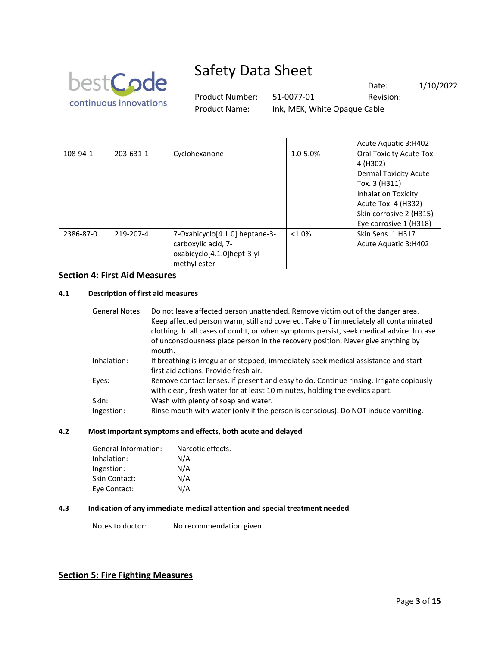

Product Number: 51-0077-01 Revision: Product Name: Ink, MEK, White Opaque Cable

Date: 1/10/2022

|           |           |                                                                                                     |           | Acute Aquatic 3:H402                                                                                                                                                                            |
|-----------|-----------|-----------------------------------------------------------------------------------------------------|-----------|-------------------------------------------------------------------------------------------------------------------------------------------------------------------------------------------------|
| 108-94-1  | 203-631-1 | Cyclohexanone                                                                                       | 1.0-5.0%  | Oral Toxicity Acute Tox.<br>4 (H302)<br><b>Dermal Toxicity Acute</b><br>Tox. 3 (H311)<br><b>Inhalation Toxicity</b><br>Acute Tox. 4 (H332)<br>Skin corrosive 2 (H315)<br>Eye corrosive 1 (H318) |
| 2386-87-0 | 219-207-4 | 7-Oxabicyclo[4.1.0] heptane-3-<br>carboxylic acid, 7-<br>oxabicyclo[4.1.0]hept-3-yl<br>methyl ester | $< 1.0\%$ | Skin Sens. 1:H317<br>Acute Aquatic 3:H402                                                                                                                                                       |

### **Section 4: First Aid Measures**

### **4.1 Description of first aid measures**

| <b>General Notes:</b> | Do not leave affected person unattended. Remove victim out of the danger area.<br>Keep affected person warm, still and covered. Take off immediately all contaminated<br>clothing. In all cases of doubt, or when symptoms persist, seek medical advice. In case<br>of unconsciousness place person in the recovery position. Never give anything by<br>mouth. |
|-----------------------|----------------------------------------------------------------------------------------------------------------------------------------------------------------------------------------------------------------------------------------------------------------------------------------------------------------------------------------------------------------|
| Inhalation:           | If breathing is irregular or stopped, immediately seek medical assistance and start<br>first aid actions. Provide fresh air.                                                                                                                                                                                                                                   |
| Eyes:                 | Remove contact lenses, if present and easy to do. Continue rinsing. Irrigate copiously<br>with clean, fresh water for at least 10 minutes, holding the eyelids apart.                                                                                                                                                                                          |
| Skin:<br>Ingestion:   | Wash with plenty of soap and water.<br>Rinse mouth with water (only if the person is conscious). Do NOT induce vomiting.                                                                                                                                                                                                                                       |

## **4.2 Most Important symptoms and effects, both acute and delayed**

| General Information: | Narcotic effects. |
|----------------------|-------------------|
| Inhalation:          | N/A               |
| Ingestion:           | N/A               |
| <b>Skin Contact:</b> | N/A               |
| Eye Contact:         | N/A               |

### **4.3 Indication of any immediate medical attention and special treatment needed**

Notes to doctor: No recommendation given.

## **Section 5: Fire Fighting Measures**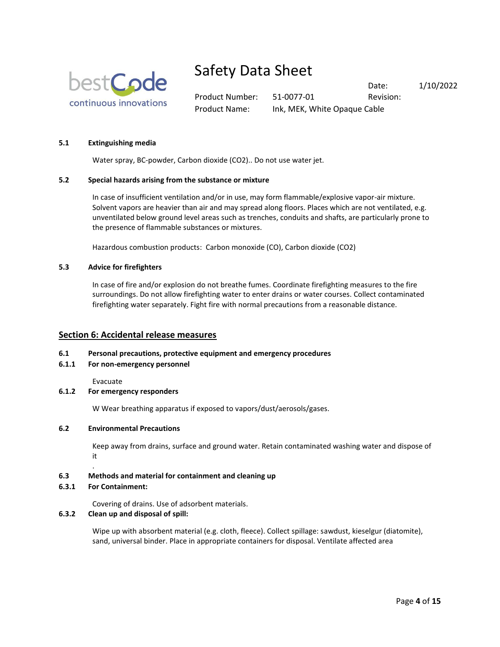

Product Number: 51-0077-01 Revision: Product Name: Ink, MEK, White Opaque Cable

Date: 1/10/2022

### **5.1 Extinguishing media**

Water spray, BC-powder, Carbon dioxide (CO2).. Do not use water jet.

### **5.2 Special hazards arising from the substance or mixture**

In case of insufficient ventilation and/or in use, may form flammable/explosive vapor-air mixture. Solvent vapors are heavier than air and may spread along floors. Places which are not ventilated, e.g. unventilated below ground level areas such as trenches, conduits and shafts, are particularly prone to the presence of flammable substances or mixtures.

Hazardous combustion products: Carbon monoxide (CO), Carbon dioxide (CO2)

#### **5.3 Advice for firefighters**

In case of fire and/or explosion do not breathe fumes. Coordinate firefighting measures to the fire surroundings. Do not allow firefighting water to enter drains or water courses. Collect contaminated firefighting water separately. Fight fire with normal precautions from a reasonable distance.

### **Section 6: Accidental release measures**

#### **6.1 Personal precautions, protective equipment and emergency procedures**

**6.1.1 For non-emergency personnel**

Evacuate

### **6.1.2 For emergency responders**

W Wear breathing apparatus if exposed to vapors/dust/aerosols/gases.

#### **6.2 Environmental Precautions**

Keep away from drains, surface and ground water. Retain contaminated washing water and dispose of it

#### **6.3 Methods and material for containment and cleaning up**

#### **6.3.1 For Containment:**

.

Covering of drains. Use of adsorbent materials.

### **6.3.2 Clean up and disposal of spill:**

Wipe up with absorbent material (e.g. cloth, fleece). Collect spillage: sawdust, kieselgur (diatomite), sand, universal binder. Place in appropriate containers for disposal. Ventilate affected area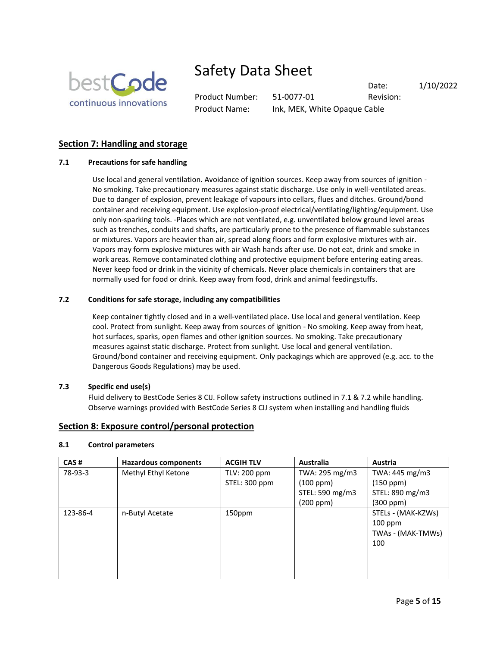

Product Number: 51-0077-01 Revision: Product Name: Ink, MEK, White Opaque Cable

Date: 1/10/2022

# **Section 7: Handling and storage**

### **7.1 Precautions for safe handling**

Use local and general ventilation. Avoidance of ignition sources. Keep away from sources of ignition - No smoking. Take precautionary measures against static discharge. Use only in well-ventilated areas. Due to danger of explosion, prevent leakage of vapours into cellars, flues and ditches. Ground/bond container and receiving equipment. Use explosion-proof electrical/ventilating/lighting/equipment. Use only non-sparking tools. -Places which are not ventilated, e.g. unventilated below ground level areas such as trenches, conduits and shafts, are particularly prone to the presence of flammable substances or mixtures. Vapors are heavier than air, spread along floors and form explosive mixtures with air. Vapors may form explosive mixtures with air Wash hands after use. Do not eat, drink and smoke in work areas. Remove contaminated clothing and protective equipment before entering eating areas. Never keep food or drink in the vicinity of chemicals. Never place chemicals in containers that are normally used for food or drink. Keep away from food, drink and animal feedingstuffs.

### **7.2 Conditions for safe storage, including any compatibilities**

Keep container tightly closed and in a well-ventilated place. Use local and general ventilation. Keep cool. Protect from sunlight. Keep away from sources of ignition - No smoking. Keep away from heat, hot surfaces, sparks, open flames and other ignition sources. No smoking. Take precautionary measures against static discharge. Protect from sunlight. Use local and general ventilation. Ground/bond container and receiving equipment. Only packagings which are approved (e.g. acc. to the Dangerous Goods Regulations) may be used.

### **7.3 Specific end use(s)**

Fluid delivery to BestCode Series 8 CIJ. Follow safety instructions outlined in 7.1 & 7.2 while handling. Observe warnings provided with BestCode Series 8 CIJ system when installing and handling fluids

### **Section 8: Exposure control/personal protection**

### **8.1 Control parameters**

| CAS#     | <b>Hazardous components</b> | <b>ACGIH TLV</b> | <b>Australia</b> | Austria            |
|----------|-----------------------------|------------------|------------------|--------------------|
| 78-93-3  | Methyl Ethyl Ketone         | TLV: 200 ppm     | TWA: 295 mg/m3   | TWA: 445 mg/m3     |
|          |                             | STEL: 300 ppm    | (100 ppm)        | (150 ppm)          |
|          |                             |                  | STEL: 590 mg/m3  | STEL: 890 mg/m3    |
|          |                             |                  | (200 ppm)        | (300 ppm)          |
| 123-86-4 | n-Butyl Acetate             | 150ppm           |                  | STELs - (MAK-KZWs) |
|          |                             |                  |                  | $100$ ppm          |
|          |                             |                  |                  | TWAs - (MAK-TMWs)  |
|          |                             |                  |                  | 100                |
|          |                             |                  |                  |                    |
|          |                             |                  |                  |                    |
|          |                             |                  |                  |                    |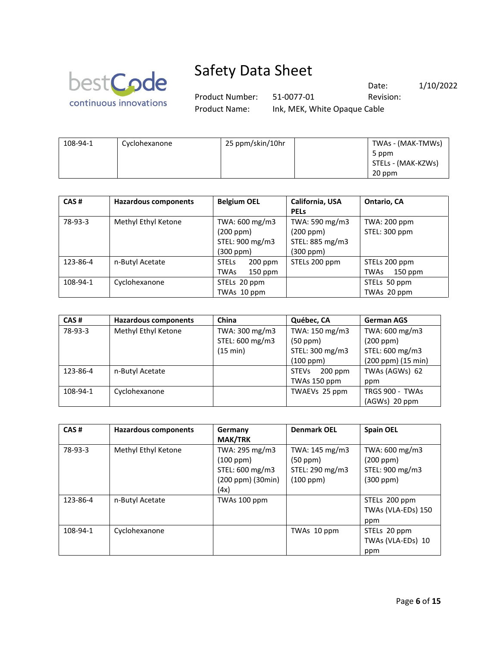

Product Number: 51-0077-01 Revision: Product Name: Ink, MEK, White Opaque Cable

Date: 1/10/2022

| 108-94-1 | Cyclohexanone | 25 ppm/skin/10hr | TWAs - (MAK-TMWs)  |
|----------|---------------|------------------|--------------------|
|          |               |                  | 5 ppm              |
|          |               |                  | STELs - (MAK-KZWs) |
|          |               |                  | 20 ppm             |

| CAS#     | <b>Hazardous components</b> | <b>Belgium OEL</b>       | California, USA | Ontario, CA       |
|----------|-----------------------------|--------------------------|-----------------|-------------------|
|          |                             |                          | <b>PELS</b>     |                   |
| 78-93-3  | Methyl Ethyl Ketone         | TWA: 600 mg/m3           | TWA: 590 mg/m3  | TWA: 200 ppm      |
|          |                             | (200 ppm)                | (200 ppm)       | STEL: 300 ppm     |
|          |                             | STEL: 900 mg/m3          | STEL: 885 mg/m3 |                   |
|          |                             | (300 ppm)                | (300 ppm)       |                   |
| 123-86-4 | n-Butyl Acetate             | <b>STELS</b><br>200 ppm  | STELs 200 ppm   | STELs 200 ppm     |
|          |                             | <b>TWAs</b><br>$150$ ppm |                 | $150$ ppm<br>TWAs |
| 108-94-1 | Cyclohexanone               | STELs 20 ppm             |                 | STELs 50 ppm      |
|          |                             | TWAs 10 ppm              |                 | TWAs 20 ppm       |

| CAS#     | <b>Hazardous components</b> | China           | Québec, CA                | <b>German AGS</b>  |
|----------|-----------------------------|-----------------|---------------------------|--------------------|
| 78-93-3  | Methyl Ethyl Ketone         | TWA: 300 mg/m3  | TWA: 150 mg/m3            | TWA: 600 mg/m3     |
|          |                             | STEL: 600 mg/m3 | (50 ppm)                  | (200 ppm)          |
|          |                             | (15 min)        | STEL: 300 mg/m3           | STEL: 600 mg/m3    |
|          |                             |                 | (100 ppm)                 | (200 ppm) (15 min) |
| 123-86-4 | n-Butyl Acetate             |                 | <b>STEVs</b><br>$200$ ppm | TWAs (AGWs) 62     |
|          |                             |                 | TWAs 150 ppm              | ppm                |
| 108-94-1 | Cyclohexanone               |                 | TWAEVs 25 ppm             | TRGS 900 - TWAs    |
|          |                             |                 |                           | (AGWs) 20 ppm      |

| CAS#     | Hazardous components | Germany<br><b>MAK/TRK</b>                                                   | <b>Denmark OEL</b>                                              | <b>Spain OEL</b>                                                 |
|----------|----------------------|-----------------------------------------------------------------------------|-----------------------------------------------------------------|------------------------------------------------------------------|
| 78-93-3  | Methyl Ethyl Ketone  | TWA: 295 mg/m3<br>(100 ppm)<br>STEL: 600 mg/m3<br>(200 ppm) (30min)<br>(4x) | TWA: 145 mg/m3<br>$(50$ ppm $)$<br>STEL: 290 mg/m3<br>(100 ppm) | TWA: 600 mg/m3<br>(200 ppm)<br>STEL: 900 mg/m3<br>$(300$ ppm $)$ |
| 123-86-4 | n-Butyl Acetate      | TWAs 100 ppm                                                                |                                                                 | STELs 200 ppm<br>TWAs (VLA-EDs) 150<br>ppm                       |
| 108-94-1 | Cyclohexanone        |                                                                             | TWAs 10 ppm                                                     | STELs 20 ppm<br>TWAs (VLA-EDs) 10<br>ppm                         |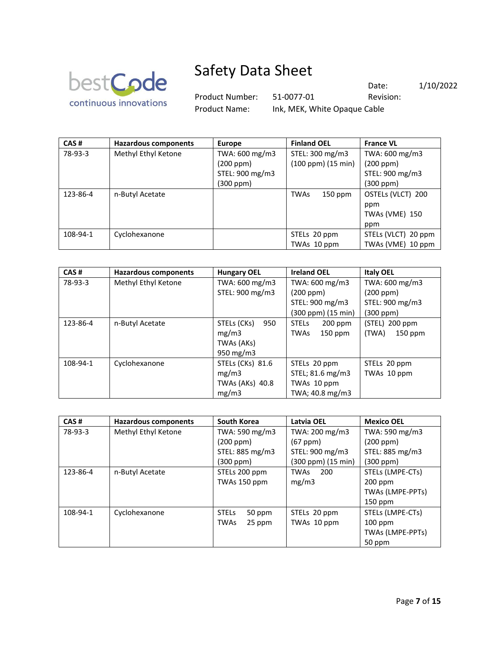

Product Number: 51-0077-01 Revision: Product Name: Ink, MEK, White Opaque Cable

Date: 1/10/2022

| CAS#     | <b>Hazardous components</b> | <b>Europe</b>   | <b>Finland OEL</b>        | <b>France VL</b>    |
|----------|-----------------------------|-----------------|---------------------------|---------------------|
| 78-93-3  | Methyl Ethyl Ketone         | TWA: 600 mg/m3  | STEL: 300 mg/m3           | TWA: 600 mg/m3      |
|          |                             | (200 ppm)       | $(100$ ppm $)(15$ min $)$ | (200 ppm)           |
|          |                             | STEL: 900 mg/m3 |                           | STEL: 900 mg/m3     |
|          |                             | (300 ppm)       |                           | (300 ppm)           |
| 123-86-4 | n-Butyl Acetate             |                 | <b>TWAs</b><br>150 ppm    | OSTELs (VLCT) 200   |
|          |                             |                 |                           | ppm                 |
|          |                             |                 |                           | TWAs (VME) 150      |
|          |                             |                 |                           | ppm                 |
| 108-94-1 | Cyclohexanone               |                 | STELs 20 ppm              | STELs (VLCT) 20 ppm |
|          |                             |                 | TWAs 10 ppm               | TWAs (VME) 10 ppm   |

| CAS#     | <b>Hazardous components</b> | <b>Hungary OEL</b> | <b>Ireland OEL</b>       | <b>Italy OEL</b>   |
|----------|-----------------------------|--------------------|--------------------------|--------------------|
| 78-93-3  | Methyl Ethyl Ketone         | TWA: 600 mg/m3     | TWA: 600 mg/m3           | TWA: 600 mg/m3     |
|          |                             | STEL: 900 mg/m3    | (200 ppm)                | (200 ppm)          |
|          |                             |                    | STEL: 900 mg/m3          | STEL: 900 mg/m3    |
|          |                             |                    | (300 ppm) (15 min)       | $(300$ ppm $)$     |
| 123-86-4 | n-Butyl Acetate             | STELs (CKs)<br>950 | <b>STELS</b><br>200 ppm  | (STEL) 200 ppm     |
|          |                             | mg/m3              | $150$ ppm<br><b>TWAs</b> | (TWA)<br>$150$ ppm |
|          |                             | TWAs (AKs)         |                          |                    |
|          |                             | 950 mg/m3          |                          |                    |
| 108-94-1 | Cyclohexanone               | STELs (CKs) 81.6   | STELs 20 ppm             | STELs 20 ppm       |
|          |                             | mg/m3              | STEL; 81.6 mg/m3         | TWAs 10 ppm        |
|          |                             | TWAs (AKs) 40.8    | TWAs 10 ppm              |                    |
|          |                             | mg/m3              | TWA; 40.8 mg/m3          |                    |

| CAS#     | <b>Hazardous components</b> | <b>South Korea</b>     | Latvia OEL         | <b>Mexico OEL</b> |
|----------|-----------------------------|------------------------|--------------------|-------------------|
| 78-93-3  | Methyl Ethyl Ketone         | TWA: 590 mg/m3         | TWA: 200 mg/m3     | TWA: 590 mg/m3    |
|          |                             | (200 ppm)              | (67 ppm)           | (200 ppm)         |
|          |                             | STEL: 885 mg/m3        | STEL: 900 mg/m3    | STEL: 885 mg/m3   |
|          |                             | $(300$ ppm $)$         | (300 ppm) (15 min) | (300 ppm)         |
| 123-86-4 | n-Butyl Acetate             | STELs 200 ppm          | 200<br><b>TWAs</b> | STELs (LMPE-CTs)  |
|          |                             | TWAs 150 ppm           | mg/m3              | $200$ ppm         |
|          |                             |                        |                    | TWAs (LMPE-PPTs)  |
|          |                             |                        |                    | $150$ ppm         |
| 108-94-1 | Cyclohexanone               | <b>STELS</b><br>50 ppm | STELs 20 ppm       | STELs (LMPE-CTs)  |
|          |                             | <b>TWAs</b><br>25 ppm  | TWAs 10 ppm        | $100$ ppm         |
|          |                             |                        |                    | TWAs (LMPE-PPTs)  |
|          |                             |                        |                    | 50 ppm            |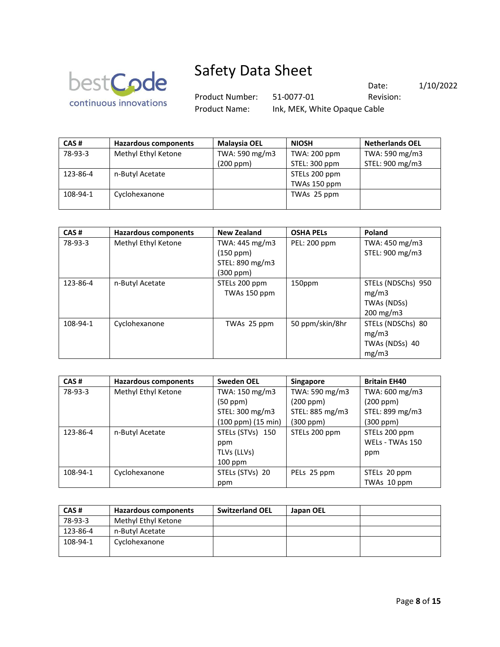

Product Number: 51-0077-01 Revision: Product Name: Ink, MEK, White Opaque Cable

Date: 1/10/2022

| <b>Netherlands OEL</b> |
|------------------------|
| TWA: 590 mg/m3         |
| STEL: 900 mg/m3        |
|                        |
|                        |
|                        |
|                        |

| CAS#     | <b>Hazardous components</b> | <b>New Zealand</b> | <b>OSHA PELS</b> | Poland             |
|----------|-----------------------------|--------------------|------------------|--------------------|
| 78-93-3  | Methyl Ethyl Ketone         | TWA: 445 mg/m3     | PEL: 200 ppm     | TWA: 450 mg/m3     |
|          |                             | (150 ppm)          |                  | STEL: 900 mg/m3    |
|          |                             | STEL: 890 mg/m3    |                  |                    |
|          |                             | $(300$ ppm $)$     |                  |                    |
| 123-86-4 | n-Butyl Acetate             | STELs 200 ppm      | 150ppm           | STELs (NDSChs) 950 |
|          |                             | TWAs 150 ppm       |                  | mg/m3              |
|          |                             |                    |                  | TWAs (NDSs)        |
|          |                             |                    |                  | 200 mg/m3          |
| 108-94-1 | Cyclohexanone               | TWAs 25 ppm        | 50 ppm/skin/8hr  | STELs (NDSChs) 80  |
|          |                             |                    |                  | mg/m3              |
|          |                             |                    |                  | TWAs (NDSs) 40     |
|          |                             |                    |                  | mg/m3              |

| CAS#     | Hazardous components | <b>Sweden OEL</b>  | <b>Singapore</b> | <b>Britain EH40</b> |
|----------|----------------------|--------------------|------------------|---------------------|
| 78-93-3  | Methyl Ethyl Ketone  | TWA: 150 mg/m3     | TWA: 590 mg/m3   | TWA: 600 mg/m3      |
|          |                      | (50 ppm)           | (200 ppm)        | (200 ppm)           |
|          |                      | STEL: 300 mg/m3    | STEL: 885 mg/m3  | STEL: 899 mg/m3     |
|          |                      | (100 ppm) (15 min) | (300 ppm)        | (300 ppm)           |
| 123-86-4 | n-Butyl Acetate      | STELs (STVs) 150   | STELs 200 ppm    | STELs 200 ppm       |
|          |                      | ppm                |                  | WELs - TWAs 150     |
|          |                      | TLVs (LLVs)        |                  | ppm                 |
|          |                      | $100$ ppm          |                  |                     |
| 108-94-1 | Cyclohexanone        | STELs (STVs) 20    | PELs 25 ppm      | STELs 20 ppm        |
|          |                      | ppm                |                  | TWAs 10 ppm         |

| CAS#     | <b>Hazardous components</b> | <b>Switzerland OEL</b> | Japan OEL |  |
|----------|-----------------------------|------------------------|-----------|--|
| 78-93-3  | Methyl Ethyl Ketone         |                        |           |  |
| 123-86-4 | n-Butyl Acetate             |                        |           |  |
| 108-94-1 | Cyclohexanone               |                        |           |  |
|          |                             |                        |           |  |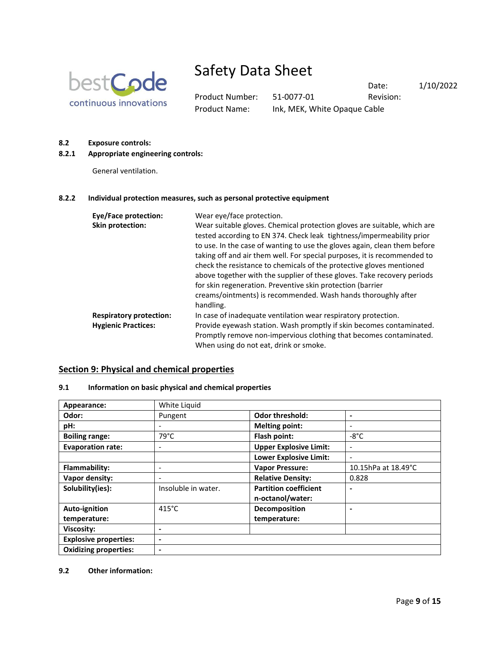

Product Number: 51-0077-01 Revision: Product Name: Ink, MEK, White Opaque Cable

Date: 1/10/2022

### **8.2 Exposure controls:**

### **8.2.1 Appropriate engineering controls:**

General ventilation.

### **8.2.2 Individual protection measures, such as personal protective equipment**

| Eye/Face protection:           | Wear eye/face protection.                                                                                                                                                                                                                                                                                                                                                                                                                                                                                                                                                                                 |
|--------------------------------|-----------------------------------------------------------------------------------------------------------------------------------------------------------------------------------------------------------------------------------------------------------------------------------------------------------------------------------------------------------------------------------------------------------------------------------------------------------------------------------------------------------------------------------------------------------------------------------------------------------|
| Skin protection:               | Wear suitable gloves. Chemical protection gloves are suitable, which are<br>tested according to EN 374. Check leak tightness/impermeability prior<br>to use. In the case of wanting to use the gloves again, clean them before<br>taking off and air them well. For special purposes, it is recommended to<br>check the resistance to chemicals of the protective gloves mentioned<br>above together with the supplier of these gloves. Take recovery periods<br>for skin regeneration. Preventive skin protection (barrier<br>creams/ointments) is recommended. Wash hands thoroughly after<br>handling. |
| <b>Respiratory protection:</b> | In case of inadequate ventilation wear respiratory protection.                                                                                                                                                                                                                                                                                                                                                                                                                                                                                                                                            |
| <b>Hygienic Practices:</b>     | Provide eyewash station. Wash promptly if skin becomes contaminated.<br>Promptly remove non-impervious clothing that becomes contaminated.<br>When using do not eat, drink or smoke.                                                                                                                                                                                                                                                                                                                                                                                                                      |

### **Section 9: Physical and chemical properties**

### **9.1 Information on basic physical and chemical properties**

| Appearance:                  | White Liquid             |                               |                          |
|------------------------------|--------------------------|-------------------------------|--------------------------|
| Odor:                        | Pungent                  | <b>Odor threshold:</b>        | -                        |
| pH:                          |                          | <b>Melting point:</b>         | $\overline{\phantom{a}}$ |
| <b>Boiling range:</b>        | $79^{\circ}$ C           | Flash point:                  | $-8^{\circ}$ C           |
| <b>Evaporation rate:</b>     | -                        | <b>Upper Explosive Limit:</b> | $\overline{\phantom{a}}$ |
|                              |                          | <b>Lower Explosive Limit:</b> |                          |
| Flammability:                |                          | <b>Vapor Pressure:</b>        | 10.15hPa at 18.49°C      |
| Vapor density:               |                          | <b>Relative Density:</b>      | 0.828                    |
| Solubility(ies):             | Insoluble in water.      | <b>Partition coefficient</b>  |                          |
|                              |                          | n-octanol/water:              |                          |
| Auto-ignition                | $415^{\circ}$ C          | Decomposition                 |                          |
| temperature:                 |                          | temperature:                  |                          |
| Viscosity:                   | $\blacksquare$           |                               |                          |
| <b>Explosive properties:</b> | $\blacksquare$           |                               |                          |
| <b>Oxidizing properties:</b> | $\overline{\phantom{0}}$ |                               |                          |

### **9.2 Other information:**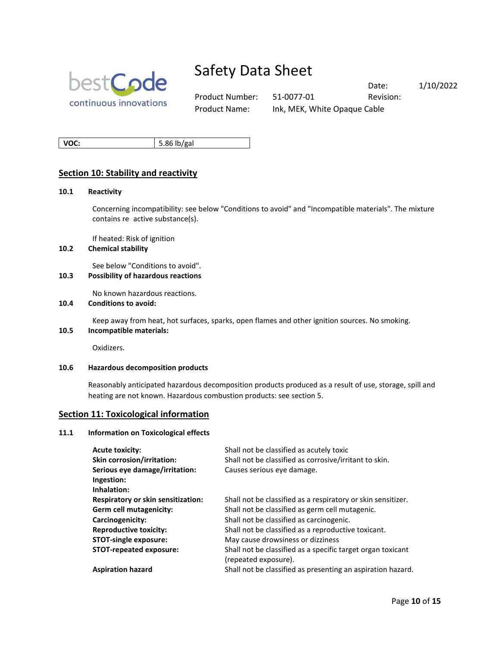

Product Number: 51-0077-01 Revision: Product Name: Ink, MEK, White Opaque Cable

Date: 1/10/2022

**VOC:** 5.86 lb/gal

## **Section 10: Stability and reactivity**

#### **10.1 Reactivity**

Concerning incompatibility: see below "Conditions to avoid" and "Incompatible materials". The mixture contains re active substance(s).

If heated: Risk of ignition

### **10.2 Chemical stability**

See below "Conditions to avoid".

### **10.3 Possibility of hazardous reactions**

No known hazardous reactions.

### **10.4 Conditions to avoid:**

Keep away from heat, hot surfaces, sparks, open flames and other ignition sources. No smoking.

## **10.5 Incompatible materials:**

Oxidizers.

#### **10.6 Hazardous decomposition products**

Reasonably anticipated hazardous decomposition products produced as a result of use, storage, spill and heating are not known. Hazardous combustion products: see section 5.

### **Section 11: Toxicological information**

#### **11.1 Information on Toxicological effects**

| <b>Acute toxicity:</b>                    | Shall not be classified as acutely toxic                     |
|-------------------------------------------|--------------------------------------------------------------|
| Skin corrosion/irritation:                | Shall not be classified as corrosive/irritant to skin.       |
| Serious eye damage/irritation:            | Causes serious eye damage.                                   |
| Ingestion:                                |                                                              |
| Inhalation:                               |                                                              |
| <b>Respiratory or skin sensitization:</b> | Shall not be classified as a respiratory or skin sensitizer. |
| Germ cell mutagenicity:                   | Shall not be classified as germ cell mutagenic.              |
| Carcinogenicity:                          | Shall not be classified as carcinogenic.                     |
| <b>Reproductive toxicity:</b>             | Shall not be classified as a reproductive toxicant.          |
| <b>STOT-single exposure:</b>              | May cause drowsiness or dizziness                            |
| <b>STOT-repeated exposure:</b>            | Shall not be classified as a specific target organ toxicant  |
|                                           | (repeated exposure).                                         |
| <b>Aspiration hazard</b>                  | Shall not be classified as presenting an aspiration hazard.  |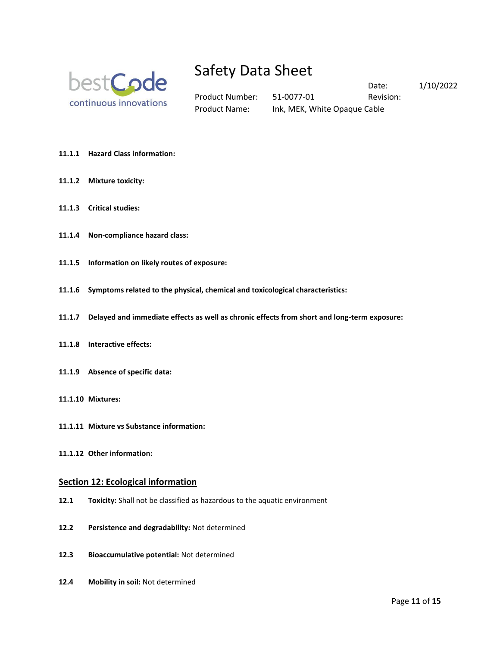

Product Number: 51-0077-01 Revision: Product Name: Ink, MEK, White Opaque Cable

Date: 1/10/2022

- **11.1.1 Hazard Class information:**
- **11.1.2 Mixture toxicity:**
- **11.1.3 Critical studies:**
- **11.1.4 Non-compliance hazard class:**
- **11.1.5 Information on likely routes of exposure:**
- **11.1.6 Symptoms related to the physical, chemical and toxicological characteristics:**
- **11.1.7 Delayed and immediate effects as well as chronic effects from short and long-term exposure:**
- **11.1.8 Interactive effects:**
- **11.1.9 Absence of specific data:**
- **11.1.10 Mixtures:**
- **11.1.11 Mixture vs Substance information:**
- **11.1.12 Other information:**

### **Section 12: Ecological information**

- **12.1 Toxicity:** Shall not be classified as hazardous to the aquatic environment
- **12.2 Persistence and degradability:** Not determined
- **12.3 Bioaccumulative potential:** Not determined
- **12.4 Mobility in soil:** Not determined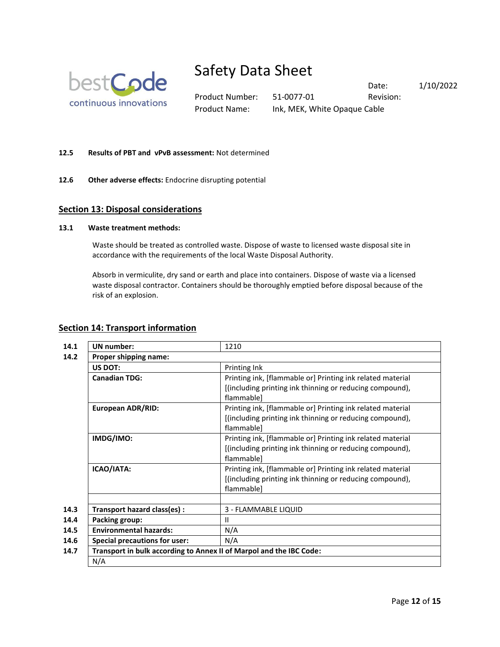

Product Number: 51-0077-01 Revision: Product Name: Ink, MEK, White Opaque Cable

Date: 1/10/2022

### **12.5 Results of PBT and vPvB assessment:** Not determined

**12.6 Other adverse effects:** Endocrine disrupting potential

### **Section 13: Disposal considerations**

### **13.1 Waste treatment methods:**

Waste should be treated as controlled waste. Dispose of waste to licensed waste disposal site in accordance with the requirements of the local Waste Disposal Authority.

Absorb in vermiculite, dry sand or earth and place into containers. Dispose of waste via a licensed waste disposal contractor. Containers should be thoroughly emptied before disposal because of the risk of an explosion.

### **Section 14: Transport information**

| 14.1 | <b>UN</b> number:                                                   | 1210                                                                   |  |
|------|---------------------------------------------------------------------|------------------------------------------------------------------------|--|
| 14.2 | Proper shipping name:                                               |                                                                        |  |
|      | <b>US DOT:</b>                                                      | Printing Ink                                                           |  |
|      | <b>Canadian TDG:</b>                                                | Printing ink, [flammable or] Printing ink related material             |  |
|      |                                                                     | [(including printing ink thinning or reducing compound),<br>flammable] |  |
|      | <b>European ADR/RID:</b>                                            | Printing ink, [flammable or] Printing ink related material             |  |
|      |                                                                     | [(including printing ink thinning or reducing compound),<br>flammable] |  |
|      | IMDG/IMO:                                                           | Printing ink, [flammable or] Printing ink related material             |  |
|      |                                                                     | [(including printing ink thinning or reducing compound),<br>flammable] |  |
|      | ICAO/IATA:                                                          | Printing ink, [flammable or] Printing ink related material             |  |
|      |                                                                     | [(including printing ink thinning or reducing compound),<br>flammable] |  |
|      |                                                                     |                                                                        |  |
| 14.3 | Transport hazard class(es) :                                        | 3 - FLAMMABLE LIQUID                                                   |  |
| 14.4 | Packing group:                                                      | $\mathbf{I}$                                                           |  |
| 14.5 | <b>Environmental hazards:</b><br>N/A                                |                                                                        |  |
| 14.6 | <b>Special precautions for user:</b>                                | N/A                                                                    |  |
| 14.7 | Transport in bulk according to Annex II of Marpol and the IBC Code: |                                                                        |  |
|      | N/A                                                                 |                                                                        |  |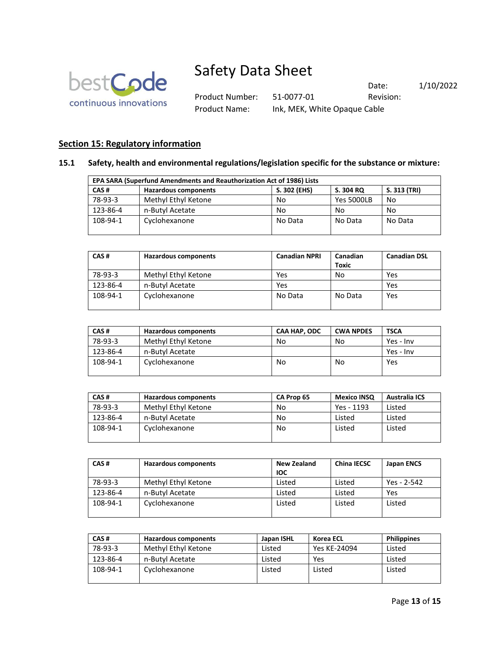

Product Number: 51-0077-01 Revision: Product Name: Ink, MEK, White Opaque Cable

Date: 1/10/2022

# **Section 15: Regulatory information**

### **15.1 Safety, health and environmental regulations/legislation specific for the substance or mixture:**

| EPA SARA (Superfund Amendments and Reauthorization Act of 1986) Lists |                             |              |                   |              |  |
|-----------------------------------------------------------------------|-----------------------------|--------------|-------------------|--------------|--|
| CAS#                                                                  | <b>Hazardous components</b> | S. 302 (EHS) | S. 304 RQ         | S. 313 (TRI) |  |
| 78-93-3                                                               | Methyl Ethyl Ketone         | No           | <b>Yes 5000LB</b> | No           |  |
| 123-86-4                                                              | n-Butyl Acetate             | No           | No                | No           |  |
| 108-94-1                                                              | Cyclohexanone               | No Data      | No Data           | No Data      |  |

| CAS#     | Hazardous components | <b>Canadian NPRI</b> | Canadian<br><b>Toxic</b> | <b>Canadian DSL</b> |
|----------|----------------------|----------------------|--------------------------|---------------------|
| 78-93-3  | Methyl Ethyl Ketone  | Yes                  | No                       | Yes                 |
| 123-86-4 | n-Butyl Acetate      | Yes                  |                          | Yes                 |
| 108-94-1 | Cyclohexanone        | No Data              | No Data                  | Yes                 |

| CAS#     | <b>Hazardous components</b> | <b>CAA HAP, ODC</b> | <b>CWA NPDES</b> | <b>TSCA</b> |
|----------|-----------------------------|---------------------|------------------|-------------|
| 78-93-3  | Methyl Ethyl Ketone         | No                  | No               | Yes - Inv   |
| 123-86-4 | n-Butvl Acetate             |                     |                  | Yes - Inv   |
| 108-94-1 | Cyclohexanone               | No                  | No               | Yes         |

| CAS#     | <b>Hazardous components</b> | CA Prop 65 | <b>Mexico INSO</b> | <b>Australia ICS</b> |
|----------|-----------------------------|------------|--------------------|----------------------|
| 78-93-3  | Methyl Ethyl Ketone         | No         | Yes - 1193         | Listed               |
| 123-86-4 | n-Butyl Acetate             | No         | Listed             | Listed               |
| 108-94-1 | Cyclohexanone               | No         | Listed             | Listed               |

| CAS#     | <b>Hazardous components</b> | <b>New Zealand</b><br><b>IOC</b> | <b>China IECSC</b> | Japan ENCS  |
|----------|-----------------------------|----------------------------------|--------------------|-------------|
| 78-93-3  | Methyl Ethyl Ketone         | Listed                           | Listed             | Yes - 2-542 |
| 123-86-4 | n-Butyl Acetate             | Listed                           | Listed             | Yes         |
| 108-94-1 | Cyclohexanone               | Listed                           | Listed             | Listed      |

| CAS#     | <b>Hazardous components</b> | Japan ISHL | Korea ECL    | <b>Philippines</b> |
|----------|-----------------------------|------------|--------------|--------------------|
| 78-93-3  | Methyl Ethyl Ketone         | Listed     | Yes KE-24094 | Listed             |
| 123-86-4 | n-Butyl Acetate             | Listed     | Yes          | Listed             |
| 108-94-1 | Cyclohexanone               | Listed     | Listed       | Listed             |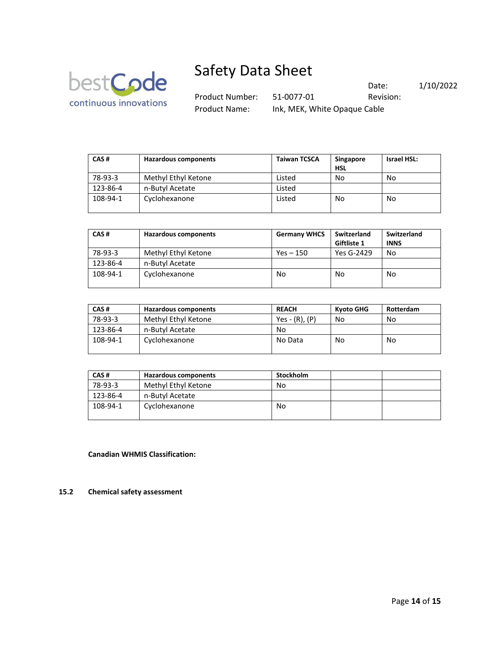

Product Number: 51-0077-01 Revision: Product Name: Ink, MEK, White Opaque Cable

Date: 1/10/2022

| CAS#     | <b>Hazardous components</b> | <b>Taiwan TCSCA</b> | <b>Singapore</b><br><b>HSL</b> | <b>Israel HSL:</b> |
|----------|-----------------------------|---------------------|--------------------------------|--------------------|
| 78-93-3  | Methyl Ethyl Ketone         | Listed              | No                             | No                 |
| 123-86-4 | n-Butyl Acetate             | Listed              |                                |                    |
| 108-94-1 | Cyclohexanone               | Listed              | No                             | No                 |

| CAS#     | <b>Hazardous components</b> | <b>Germany WHCS</b> | Switzerland<br>Giftliste 1 | Switzerland<br><b>INNS</b> |
|----------|-----------------------------|---------------------|----------------------------|----------------------------|
| 78-93-3  | Methyl Ethyl Ketone         | Yes – 150           | Yes G-2429                 | No                         |
| 123-86-4 | n-Butyl Acetate             |                     |                            |                            |
| 108-94-1 | Cyclohexanone               | No                  | No                         | No                         |

| CAS#     | <b>Hazardous components</b> | <b>REACH</b>     | Kvoto GHG | Rotterdam |
|----------|-----------------------------|------------------|-----------|-----------|
| 78-93-3  | Methyl Ethyl Ketone         | $Yes - (R), (P)$ | No        | No        |
| 123-86-4 | n-Butyl Acetate             | No               |           |           |
| 108-94-1 | Cyclohexanone               | No Data          | No        | No        |

| CAS#     | <b>Hazardous components</b> | <b>Stockholm</b> |  |
|----------|-----------------------------|------------------|--|
| 78-93-3  | Methyl Ethyl Ketone         | No               |  |
| 123-86-4 | n-Butyl Acetate             |                  |  |
| 108-94-1 | Cyclohexanone               | No               |  |

**Canadian WHMIS Classification:**

### **15.2 Chemical safety assessment**